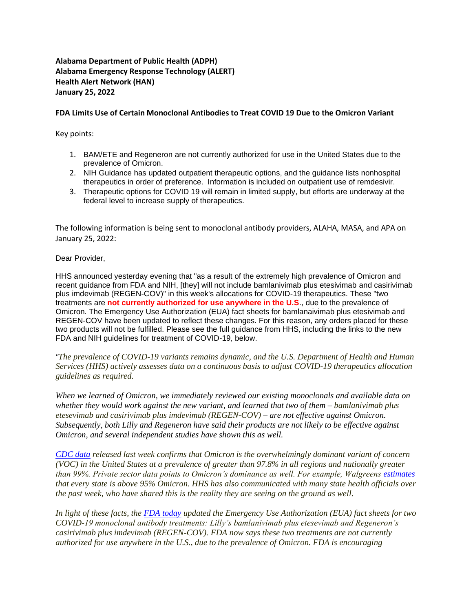# **Alabama Department of Public Health (ADPH) Alabama Emergency Response Technology (ALERT) Health Alert Network (HAN) January 25, 2022**

### **FDA Limits Use of Certain Monoclonal Antibodies to Treat COVID 19 Due to the Omicron Variant**

Key points:

- 1. BAM/ETE and Regeneron are not currently authorized for use in the United States due to the prevalence of Omicron.
- 2. NIH Guidance has updated outpatient therapeutic options, and the guidance lists nonhospital therapeutics in order of preference. Information is included on outpatient use of remdesivir.
- 3. Therapeutic options for COVID 19 will remain in limited supply, but efforts are underway at the federal level to increase supply of therapeutics.

The following information is being sent to monoclonal antibody providers, ALAHA, MASA, and APA on January 25, 2022:

Dear Provider,

HHS announced yesterday evening that "as a result of the extremely high prevalence of Omicron and recent guidance from FDA and NIH, [they] will not include bamlanivimab plus etesivimab and casirivimab plus imdevimab (REGEN-COV)" in this week's allocations for COVID-19 therapeutics. These "two treatments are **not currently authorized for use anywhere in the U.S**., due to the prevalence of Omicron. The Emergency Use Authorization (EUA) fact sheets for bamlanaivimab plus etesivimab and REGEN-COV have been updated to reflect these changes. For this reason, any orders placed for these two products will not be fulfilled. Please see the full guidance from HHS, including the links to the new FDA and NIH guidelines for treatment of COVID-19, below.

*"The prevalence of COVID-19 variants remains dynamic, and the U.S. Department of Health and Human Services (HHS) actively assesses data on a continuous basis to adjust COVID-19 therapeutics allocation guidelines as required.*

*When we learned of Omicron, we immediately reviewed our existing monoclonals and available data on whether they would work against the new variant, and learned that two of them – bamlanivimab plus etesevimab and casirivimab plus imdevimab (REGEN-COV) – are not effective against Omicron. Subsequently, both Lilly and Regeneron have said their products are not likely to be effective against Omicron, and several independent studies have shown this as well.*

*[CDC data](https://covid.cdc.gov/covid-data-tracker/#variant-proportions) released last week confirms that Omicron is the overwhelmingly dominant variant of concern (VOC) in the United States at a prevalence of greater than 97.8% in all regions and nationally greater than 99%. Private sector data points to Omicron's dominance as well. For example, Walgreens [estimates](https://www.walgreens.com/businesssolutions/covid-19-index.jsp) that every state is above 95% Omicron. HHS has also communicated with many state health officials over the past week, who have shared this is the reality they are seeing on the ground as well.*

*In light of these facts, the [FDA today](https://www.fda.gov/news-events/press-announcements/coronavirus-covid-19-update-fda-limits-use-certain-monoclonal-antibodies-treat-covid-19-due-omicron) updated the Emergency Use Authorization (EUA) fact sheets for two COVID-19 monoclonal antibody treatments: Lilly's bamlanivimab plus etesevimab and Regeneron's casirivimab plus imdevimab (REGEN-COV). FDA now says these two treatments are not currently authorized for use anywhere in the U.S., due to the prevalence of Omicron. FDA is encouraging*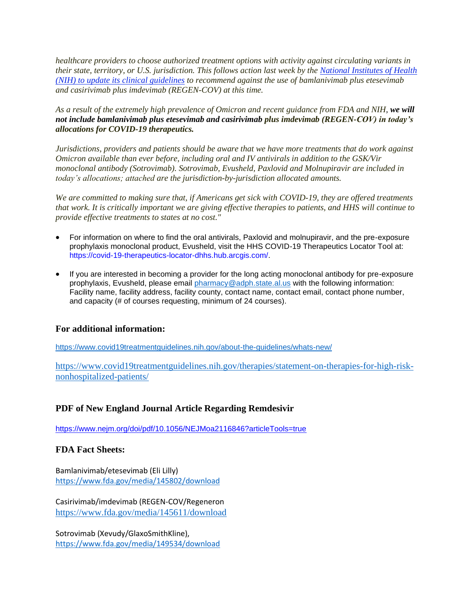*healthcare providers to choose authorized treatment options with activity against circulating variants in their state, territory, or U.S. jurisdiction. This follows action last week by the [National Institutes of Health](https://www.covid19treatmentguidelines.nih.gov/therapies/statement-on-therapies-for-high-risk-nonhospitalized-patients/)  [\(NIH\) to update its clinical guidelines](https://www.covid19treatmentguidelines.nih.gov/therapies/statement-on-therapies-for-high-risk-nonhospitalized-patients/) to recommend against the use of bamlanivimab plus etesevimab and casirivimab plus imdevimab (REGEN-COV) at this time.*

*As a result of the extremely high prevalence of Omicron and recent guidance from FDA and NIH, we will not include bamlanivimab plus etesevimab and casirivimab plus imdevimab (REGEN-COV) in today's allocations for COVID-19 therapeutics.*

*Jurisdictions, providers and patients should be aware that we have more treatments that do work against Omicron available than ever before, including oral and IV antivirals in addition to the GSK/Vir monoclonal antibody (Sotrovimab). Sotrovimab, Evusheld, Paxlovid and Molnupiravir are included in today's allocations; attached are the jurisdiction-by-jurisdiction allocated amounts.*

*We are committed to making sure that, if Americans get sick with COVID-19, they are offered treatments that work. It is critically important we are giving effective therapies to patients, and HHS will continue to provide effective treatments to states at no cost."*

- For information on where to find the oral antivirals, Paxlovid and molnupiravir, and the pre-exposure prophylaxis monoclonal product, Evusheld, visit the HHS COVID-19 Therapeutics Locator Tool at: [https://covid-19-therapeutics-locator-dhhs.hub.arcgis.com/.](https://covid-19-therapeutics-locator-dhhs.hub.arcgis.com/)
- If you are interested in becoming a provider for the long acting monoclonal antibody for pre-exposure prophylaxis, Evusheld, please email [pharmacy@adph.state.al.us](mailto:pharmacy@adph.state.al.us) with the following information: Facility name, facility address, facility county, contact name, contact email, contact phone number, and capacity (# of courses requesting, minimum of 24 courses).

## **For additional information:**

<https://www.covid19treatmentguidelines.nih.gov/about-the-guidelines/whats-new/>

[https://www.covid19treatmentguidelines.nih.gov/therapies/statement-on-therapies-for-high-risk](https://www.covid19treatmentguidelines.nih.gov/therapies/statement-on-therapies-for-high-risk-nonhospitalized-patients/)[nonhospitalized-patients/](https://www.covid19treatmentguidelines.nih.gov/therapies/statement-on-therapies-for-high-risk-nonhospitalized-patients/)

## **PDF of New England Journal Article Regarding Remdesivir**

<https://www.nejm.org/doi/pdf/10.1056/NEJMoa2116846?articleTools=true>

## **FDA Fact Sheets:**

Bamlanivimab/etesevimab (Eli Lilly) <https://www.fda.gov/media/145802/download>

Casirivimab/imdevimab (REGEN-COV/Regeneron <https://www.fda.gov/media/145611/download>

Sotrovimab (Xevudy/GlaxoSmithKline), <https://www.fda.gov/media/149534/download>